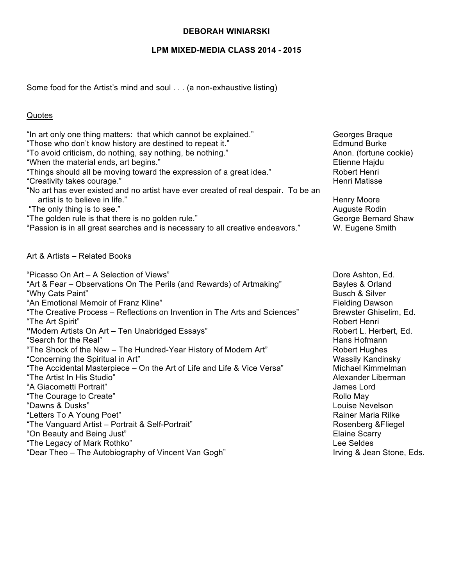# **LPM MIXED-MEDIA CLASS 2014 - 2015**

Some food for the Artist's mind and soul . . . (a non-exhaustive listing)

## **Quotes**

| "Those who don't know history are destined to repeat it."<br>"To avoid criticism, do nothing, say nothing, be nothing."<br>"When the material ends, art begins."<br>"Things should all be moving toward the expression of a great idea."<br>"Creativity takes courage."<br>"No art has ever existed and no artist have ever created of real despair. To be an<br>artist is to believe in life."<br>"The only thing is to see."<br>"The golden rule is that there is no golden rule."<br>"Passion is in all great searches and is necessary to all creative endeavors."                                                                                                                                                                                                                                                                                                                    | <b>Edmund Burke</b><br>Anon. (fortune cookie)<br>Etienne Hajdu<br><b>Robert Henri</b><br><b>Henri Matisse</b><br><b>Henry Moore</b><br>Auguste Rodin<br>George Bernard Shaw<br>W. Eugene Smith                                                                                                                                                                                                                                              |
|-------------------------------------------------------------------------------------------------------------------------------------------------------------------------------------------------------------------------------------------------------------------------------------------------------------------------------------------------------------------------------------------------------------------------------------------------------------------------------------------------------------------------------------------------------------------------------------------------------------------------------------------------------------------------------------------------------------------------------------------------------------------------------------------------------------------------------------------------------------------------------------------|---------------------------------------------------------------------------------------------------------------------------------------------------------------------------------------------------------------------------------------------------------------------------------------------------------------------------------------------------------------------------------------------------------------------------------------------|
| Art & Artists - Related Books<br>"Picasso On Art - A Selection of Views"<br>"Art & Fear – Observations On The Perils (and Rewards) of Artmaking"<br>"Why Cats Paint"<br>"An Emotional Memoir of Franz Kline"<br>"The Creative Process - Reflections on Invention in The Arts and Sciences"<br>"The Art Spirit"<br>"Modern Artists On Art - Ten Unabridged Essays"<br>"Search for the Real"<br>"The Shock of the New - The Hundred-Year History of Modern Art"<br>"Concerning the Spiritual in Art"<br>"The Accidental Masterpiece - On the Art of Life and Life & Vice Versa"<br>"The Artist In His Studio"<br>"A Giacometti Portrait"<br>"The Courage to Create"<br>"Dawns & Dusks"<br>"Letters To A Young Poet"<br>"The Vanguard Artist - Portrait & Self-Portrait"<br>"On Beauty and Being Just"<br>"The Legacy of Mark Rothko"<br>"Dear Theo - The Autobiography of Vincent Van Gogh" | Dore Ashton, Ed.<br>Bayles & Orland<br><b>Busch &amp; Silver</b><br><b>Fielding Dawson</b><br>Brewster Ghiselim, Ed.<br>Robert Henri<br>Robert L. Herbert, Ed.<br>Hans Hofmann<br><b>Robert Hughes</b><br><b>Wassily Kandinsky</b><br>Michael Kimmelman<br>Alexander Liberman<br>James Lord<br>Rollo May<br>Louise Nevelson<br>Rainer Maria Rilke<br>Rosenberg & Fliegel<br><b>Elaine Scarry</b><br>Lee Seldes<br>Irving & Jean Stone, Eds. |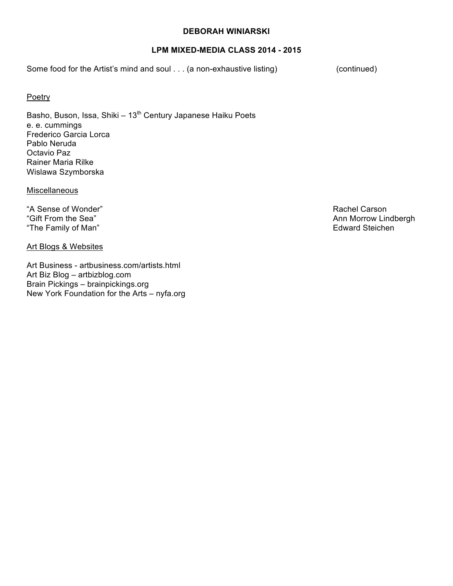### **LPM MIXED-MEDIA CLASS 2014 - 2015**

Some food for the Artist's mind and soul . . . (a non-exhaustive listing) (continued)

### **Poetry**

Basho, Buson, Issa, Shiki –  $13<sup>th</sup>$  Century Japanese Haiku Poets e. e. cummings Frederico Garcia Lorca Pablo Neruda Octavio Paz Rainer Maria Rilke Wislawa Szymborska

Miscellaneous

"A Sense of Wonder" Rachel Carson "The Family of Man" extended the Contract of The Family of Man" extended the Edward Steichen

Art Blogs & Websites

Art Business - artbusiness.com/artists.html Art Biz Blog – artbizblog.com Brain Pickings – brainpickings.org New York Foundation for the Arts – nyfa.org

"Gift From the Sea" and the Sea was a structured by the Sea was a structured by the Ann Morrow Lindbergh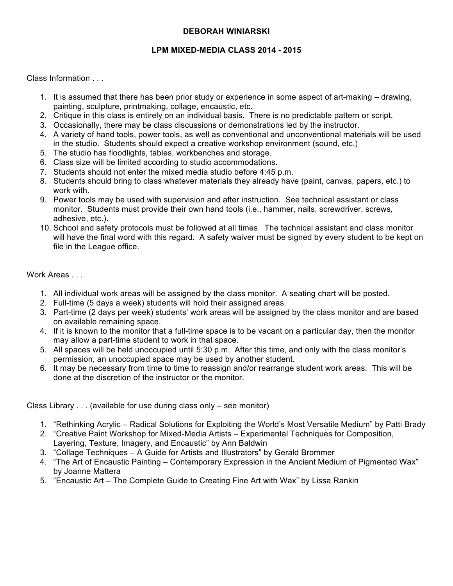### **LPM MIXED-MEDIA CLASS 2014 - 2015**

Class Information . . .

- 1. It is assumed that there has been prior study or experience in some aspect of art-making drawing, painting, sculpture, printmaking, collage, encaustic, etc.
- 2. Critique in this class is entirely on an individual basis. There is no predictable pattern or script.
- 3. Occasionally, there may be class discussions or demonstrations led by the instructor.
- 4. A variety of hand tools, power tools, as well as conventional and unconventional materials will be used in the studio. Students should expect a creative workshop environment (sound, etc.)
- 5. The studio has floodlights, tables, workbenches and storage.
- 6. Class size will be limited according to studio accommodations.
- 7. Students should not enter the mixed media studio before 4:45 p.m.
- 8. Students should bring to class whatever materials they already have (paint, canvas, papers, etc.) to work with.
- 9. Power tools may be used with supervision and after instruction. See technical assistant or class monitor. Students must provide their own hand tools (i.e., hammer, nails, screwdriver, screws, adhesive, etc.).
- 10. School and safety protocols must be followed at all times. The technical assistant and class monitor will have the final word with this regard. A safety waiver must be signed by every student to be kept on file in the League office.

### Work Areas ...

- 1. All individual work areas will be assigned by the class monitor. A seating chart will be posted.
- 2. Full-time (5 days a week) students will hold their assigned areas.
- 3. Part-time (2 days per week) students' work areas will be assigned by the class monitor and are based on available remaining space.
- 4. If it is known to the monitor that a full-time space is to be vacant on a particular day, then the monitor may allow a part-time student to work in that space.
- 5. All spaces will be held unoccupied until 5:30 p.m. After this time, and only with the class monitor's permission, an unoccupied space may be used by another student.
- 6. It may be necessary from time to time to reassign and/or rearrange student work areas. This will be done at the discretion of the instructor or the monitor.

Class Library . . . (available for use during class only – see monitor)

- 1. "Rethinking Acrylic Radical Solutions for Exploiting the World's Most Versatile Medium" by Patti Brady
- 2. "Creative Paint Workshop for Mixed-Media Artists Experimental Techniques for Composition, Layering, Texture, Imagery, and Encaustic" by Ann Baldwin
- 3. "Collage Techniques A Guide for Artists and Illustrators" by Gerald Brommer
- 4. "The Art of Encaustic Painting Contemporary Expression in the Ancient Medium of Pigmented Wax" by Joanne Mattera
- 5. "Encaustic Art The Complete Guide to Creating Fine Art with Wax" by Lissa Rankin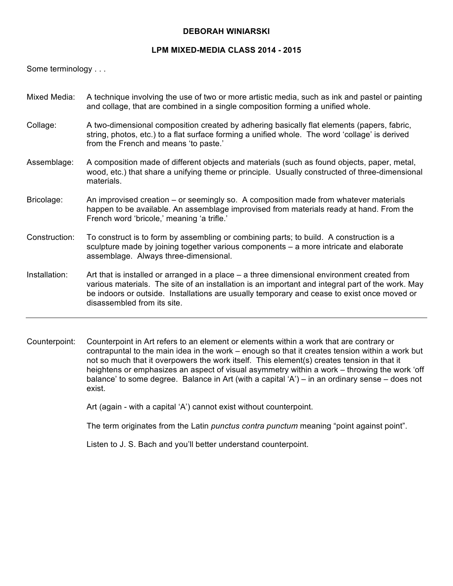#### **LPM MIXED-MEDIA CLASS 2014 - 2015**

Some terminology . . .

- Mixed Media: A technique involving the use of two or more artistic media, such as ink and pastel or painting and collage, that are combined in a single composition forming a unified whole.
- Collage: A two-dimensional composition created by adhering basically flat elements (papers, fabric, string, photos, etc.) to a flat surface forming a unified whole. The word 'collage' is derived from the French and means 'to paste.'
- Assemblage: A composition made of different objects and materials (such as found objects, paper, metal, wood, etc.) that share a unifying theme or principle. Usually constructed of three-dimensional materials.
- Bricolage: An improvised creation or seemingly so. A composition made from whatever materials happen to be available. An assemblage improvised from materials ready at hand. From the French word 'bricole,' meaning 'a trifle.'
- Construction: To construct is to form by assembling or combining parts; to build. A construction is a sculpture made by joining together various components – a more intricate and elaborate assemblage. Always three-dimensional.
- Installation: Art that is installed or arranged in a place a three dimensional environment created from various materials. The site of an installation is an important and integral part of the work. May be indoors or outside. Installations are usually temporary and cease to exist once moved or disassembled from its site.
- Counterpoint: Counterpoint in Art refers to an element or elements within a work that are contrary or contrapuntal to the main idea in the work – enough so that it creates tension within a work but not so much that it overpowers the work itself. This element(s) creates tension in that it heightens or emphasizes an aspect of visual asymmetry within a work – throwing the work 'off balance' to some degree. Balance in Art (with a capital 'A') – in an ordinary sense – does not exist.

Art (again - with a capital 'A') cannot exist without counterpoint.

The term originates from the Latin *punctus contra punctum* meaning "point against point".

Listen to J. S. Bach and you'll better understand counterpoint.